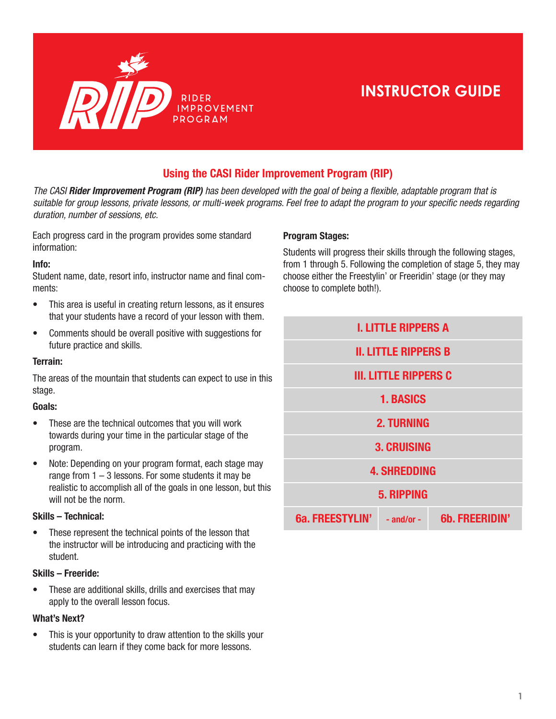

# **INSTRUCTOR GUIDE**

## Using the CASI Rider Improvement Program (RIP)

*The CASI Rider Improvement Program (RIP)* has been developed with the goal of being a flexible, adaptable program that is suitable for group lessons, private lessons, or multi-week programs. Feel free to adapt the program to your specific needs regarding duration, number of sessions, etc.

Each progress card in the program provides some standard information:

### Info:

Student name, date, resort info, instructor name and final comments:

- This area is useful in creating return lessons, as it ensures that your students have a record of your lesson with them.
- Comments should be overall positive with suggestions for future practice and skills.

### Terrain:

The areas of the mountain that students can expect to use in this stage.

#### Goals:

- These are the technical outcomes that you will work towards during your time in the particular stage of the program.
- Note: Depending on your program format, each stage may range from  $1 - 3$  lessons. For some students it may be realistic to accomplish all of the goals in one lesson, but this will not be the norm.

### Skills – Technical:

• These represent the technical points of the lesson that the instructor will be introducing and practicing with the student.

### Skills – Freeride:

• These are additional skills, drills and exercises that may apply to the overall lesson focus.

### What's Next?

• This is your opportunity to draw attention to the skills your students can learn if they come back for more lessons.

### Program Stages:

Students will progress their skills through the following stages, from 1 through 5. Following the completion of stage 5, they may choose either the Freestylin' or Freeridin' stage (or they may choose to complete both!).

| <b>I. LITTLE RIPPERS A</b>   |                |                       |
|------------------------------|----------------|-----------------------|
| <b>II. LITTLE RIPPERS B</b>  |                |                       |
| <b>III. LITTLE RIPPERS C</b> |                |                       |
| <b>1. BASICS</b>             |                |                       |
| <b>2. TURNING</b>            |                |                       |
| <b>3. CRUISING</b>           |                |                       |
| <b>4. SHREDDING</b>          |                |                       |
| <b>5. RIPPING</b>            |                |                       |
| 6a. FREESTYLIN'              | $-$ and/or $-$ | <b>6b. FREERIDIN'</b> |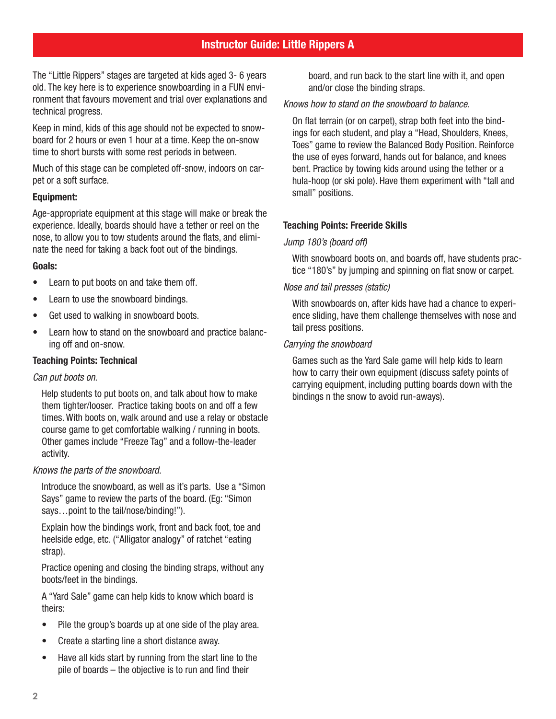## Instructor Guide: Little Rippers A

The "Little Rippers" stages are targeted at kids aged 3- 6 years old. The key here is to experience snowboarding in a FUN environment that favours movement and trial over explanations and technical progress.

Keep in mind, kids of this age should not be expected to snowboard for 2 hours or even 1 hour at a time. Keep the on-snow time to short bursts with some rest periods in between.

Much of this stage can be completed off-snow, indoors on carpet or a soft surface.

### Equipment:

Age-appropriate equipment at this stage will make or break the experience. Ideally, boards should have a tether or reel on the nose, to allow you to tow students around the flats, and eliminate the need for taking a back foot out of the bindings.

### Goals:

- Learn to put boots on and take them off.
- Learn to use the snowboard bindings.
- Get used to walking in snowboard boots.
- Learn how to stand on the snowboard and practice balancing off and on-snow.

### Teaching Points: Technical

### Can put boots on.

Help students to put boots on, and talk about how to make them tighter/looser. Practice taking boots on and off a few times. With boots on, walk around and use a relay or obstacle course game to get comfortable walking / running in boots. Other games include "Freeze Tag" and a follow-the-leader activity.

### Knows the parts of the snowboard.

Introduce the snowboard, as well as it's parts. Use a "Simon Says" game to review the parts of the board. (Eg: "Simon says...point to the tail/nose/binding!").

Explain how the bindings work, front and back foot, toe and heelside edge, etc. ("Alligator analogy" of ratchet "eating strap).

Practice opening and closing the binding straps, without any boots/feet in the bindings.

A "Yard Sale" game can help kids to know which board is theirs:

- Pile the group's boards up at one side of the play area.
- Create a starting line a short distance away.
- Have all kids start by running from the start line to the pile of boards – the objective is to run and find their

board, and run back to the start line with it, and open and/or close the binding straps.

### Knows how to stand on the snowboard to balance.

On flat terrain (or on carpet), strap both feet into the bindings for each student, and play a "Head, Shoulders, Knees, Toes" game to review the Balanced Body Position. Reinforce the use of eyes forward, hands out for balance, and knees bent. Practice by towing kids around using the tether or a hula-hoop (or ski pole). Have them experiment with "tall and small" positions.

### Teaching Points: Freeride Skills

### Jump 180's (board off)

With snowboard boots on, and boards off, have students practice "180's" by jumping and spinning on flat snow or carpet.

### Nose and tail presses (static)

With snowboards on, after kids have had a chance to experience sliding, have them challenge themselves with nose and tail press positions.

### Carrying the snowboard

Games such as the Yard Sale game will help kids to learn how to carry their own equipment (discuss safety points of carrying equipment, including putting boards down with the bindings n the snow to avoid run-aways).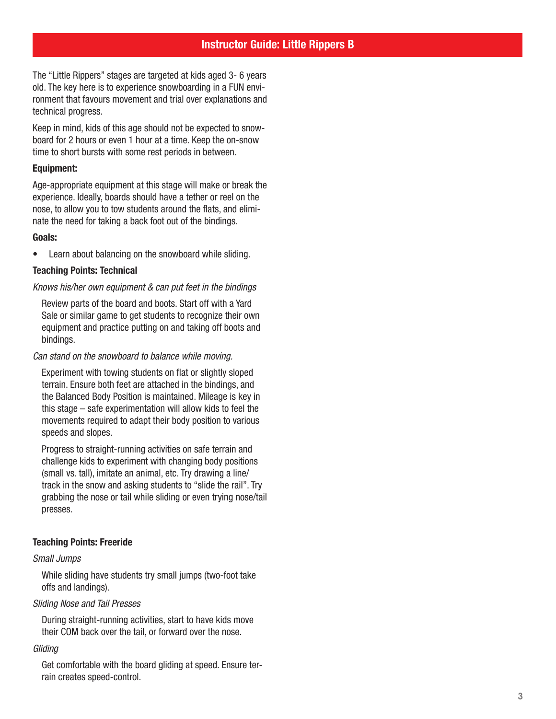The "Little Rippers" stages are targeted at kids aged 3- 6 years old. The key here is to experience snowboarding in a FUN environment that favours movement and trial over explanations and technical progress.

Keep in mind, kids of this age should not be expected to snowboard for 2 hours or even 1 hour at a time. Keep the on-snow time to short bursts with some rest periods in between.

### Equipment:

Age-appropriate equipment at this stage will make or break the experience. Ideally, boards should have a tether or reel on the nose, to allow you to tow students around the flats, and eliminate the need for taking a back foot out of the bindings.

### Goals:

• Learn about balancing on the snowboard while sliding.

### Teaching Points: Technical

### Knows his/her own equipment & can put feet in the bindings

Review parts of the board and boots. Start off with a Yard Sale or similar game to get students to recognize their own equipment and practice putting on and taking off boots and bindings.

### Can stand on the snowboard to balance while moving.

Experiment with towing students on flat or slightly sloped terrain. Ensure both feet are attached in the bindings, and the Balanced Body Position is maintained. Mileage is key in this stage – safe experimentation will allow kids to feel the movements required to adapt their body position to various speeds and slopes.

Progress to straight-running activities on safe terrain and challenge kids to experiment with changing body positions (small vs. tall), imitate an animal, etc. Try drawing a line/ track in the snow and asking students to "slide the rail". Try grabbing the nose or tail while sliding or even trying nose/tail presses.

### Teaching Points: Freeride

### Small Jumps

While sliding have students try small jumps (two-foot take offs and landings).

### Sliding Nose and Tail Presses

During straight-running activities, start to have kids move their COM back over the tail, or forward over the nose.

### *Gliding*

Get comfortable with the board gliding at speed. Ensure terrain creates speed-control.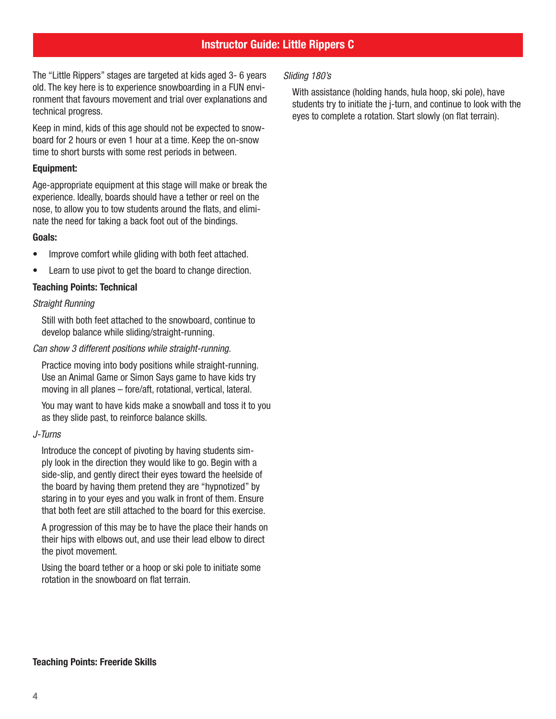## Instructor Guide: Little Rippers C

The "Little Rippers" stages are targeted at kids aged 3- 6 years old. The key here is to experience snowboarding in a FUN environment that favours movement and trial over explanations and technical progress.

Keep in mind, kids of this age should not be expected to snowboard for 2 hours or even 1 hour at a time. Keep the on-snow time to short bursts with some rest periods in between.

### Equipment:

Age-appropriate equipment at this stage will make or break the experience. Ideally, boards should have a tether or reel on the nose, to allow you to tow students around the flats, and eliminate the need for taking a back foot out of the bindings.

### Goals:

- Improve comfort while gliding with both feet attached.
- Learn to use pivot to get the board to change direction.

### Teaching Points: Technical

### Straight Running

Still with both feet attached to the snowboard, continue to develop balance while sliding/straight-running.

### Can show 3 different positions while straight-running.

Practice moving into body positions while straight-running. Use an Animal Game or Simon Says game to have kids try moving in all planes – fore/aft, rotational, vertical, lateral.

You may want to have kids make a snowball and toss it to you as they slide past, to reinforce balance skills.

### J-Turns

Introduce the concept of pivoting by having students simply look in the direction they would like to go. Begin with a side-slip, and gently direct their eyes toward the heelside of the board by having them pretend they are "hypnotized" by staring in to your eyes and you walk in front of them. Ensure that both feet are still attached to the board for this exercise.

A progression of this may be to have the place their hands on their hips with elbows out, and use their lead elbow to direct the pivot movement.

Using the board tether or a hoop or ski pole to initiate some rotation in the snowboard on flat terrain.

### Sliding 180's

With assistance (holding hands, hula hoop, ski pole), have students try to initiate the j-turn, and continue to look with the eyes to complete a rotation. Start slowly (on flat terrain).

### Teaching Points: Freeride Skills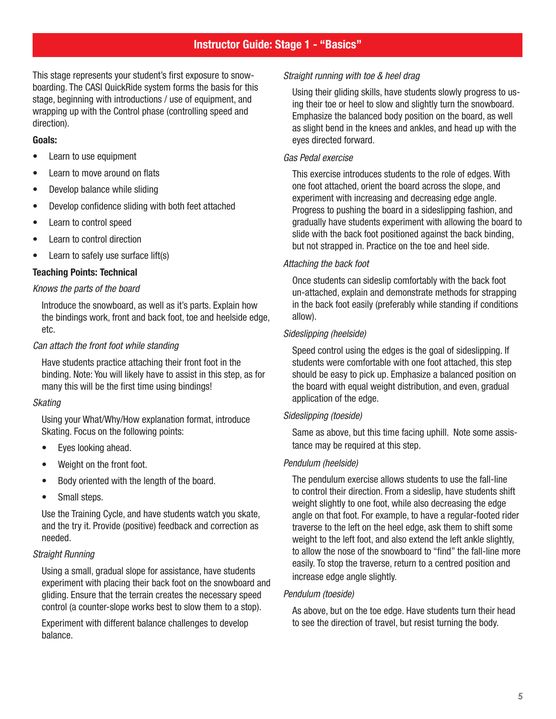## Instructor Guide: Stage 1 - "Basics"

This stage represents your student's first exposure to snowboarding. The CASI QuickRide system forms the basis for this stage, beginning with introductions / use of equipment, and wrapping up with the Control phase (controlling speed and direction).

### Goals:

- Learn to use equipment
- Learn to move around on flats
- Develop balance while sliding
- Develop confidence sliding with both feet attached
- Learn to control speed
- Learn to control direction
- Learn to safely use surface lift(s)

### Teaching Points: Technical

### Knows the parts of the board

Introduce the snowboard, as well as it's parts. Explain how the bindings work, front and back foot, toe and heelside edge, etc.

### Can attach the front foot while standing

Have students practice attaching their front foot in the binding. Note: You will likely have to assist in this step, as for many this will be the first time using bindings!

### Skating

Using your What/Why/How explanation format, introduce Skating. Focus on the following points:

- Eyes looking ahead.
- Weight on the front foot.
- Body oriented with the length of the board.
- Small steps.

Use the Training Cycle, and have students watch you skate, and the try it. Provide (positive) feedback and correction as needed.

### Straight Running

Using a small, gradual slope for assistance, have students experiment with placing their back foot on the snowboard and gliding. Ensure that the terrain creates the necessary speed control (a counter-slope works best to slow them to a stop).

Experiment with different balance challenges to develop balance.

### Straight running with toe & heel drag

Using their gliding skills, have students slowly progress to using their toe or heel to slow and slightly turn the snowboard. Emphasize the balanced body position on the board, as well as slight bend in the knees and ankles, and head up with the eyes directed forward.

### Gas Pedal exercise

This exercise introduces students to the role of edges. With one foot attached, orient the board across the slope, and experiment with increasing and decreasing edge angle. Progress to pushing the board in a sideslipping fashion, and gradually have students experiment with allowing the board to slide with the back foot positioned against the back binding, but not strapped in. Practice on the toe and heel side.

### Attaching the back foot

Once students can sideslip comfortably with the back foot un-attached, explain and demonstrate methods for strapping in the back foot easily (preferably while standing if conditions allow).

### Sideslipping (heelside)

Speed control using the edges is the goal of sideslipping. If students were comfortable with one foot attached, this step should be easy to pick up. Emphasize a balanced position on the board with equal weight distribution, and even, gradual application of the edge.

### Sideslipping (toeside)

Same as above, but this time facing uphill. Note some assistance may be required at this step.

### Pendulum (heelside)

The pendulum exercise allows students to use the fall-line to control their direction. From a sideslip, have students shift weight slightly to one foot, while also decreasing the edge angle on that foot. For example, to have a regular-footed rider traverse to the left on the heel edge, ask them to shift some weight to the left foot, and also extend the left ankle slightly, to allow the nose of the snowboard to "find" the fall-line more easily. To stop the traverse, return to a centred position and increase edge angle slightly.

### Pendulum (toeside)

As above, but on the toe edge. Have students turn their head to see the direction of travel, but resist turning the body.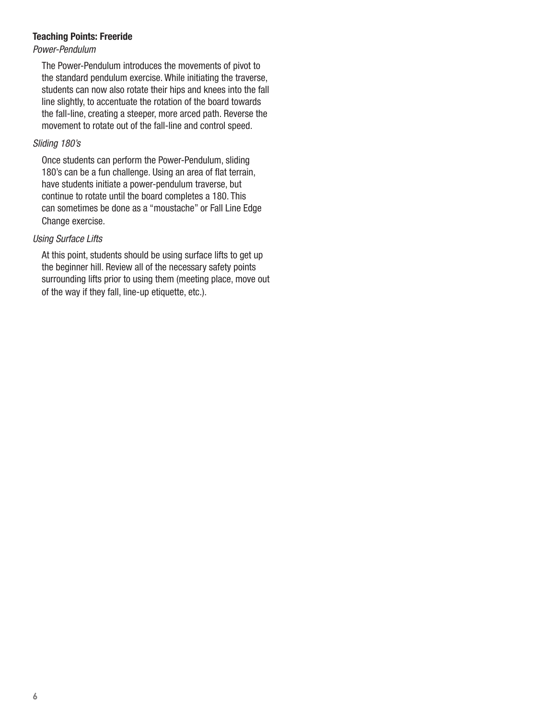### Teaching Points: Freeride

### Power-Pendulum

The Power-Pendulum introduces the movements of pivot to the standard pendulum exercise. While initiating the traverse, students can now also rotate their hips and knees into the fall line slightly, to accentuate the rotation of the board towards the fall-line, creating a steeper, more arced path. Reverse the movement to rotate out of the fall-line and control speed.

### Sliding 180's

Once students can perform the Power-Pendulum, sliding 180's can be a fun challenge. Using an area of flat terrain, have students initiate a power-pendulum traverse, but continue to rotate until the board completes a 180. This can sometimes be done as a "moustache" or Fall Line Edge Change exercise.

### Using Surface Lifts

At this point, students should be using surface lifts to get up the beginner hill. Review all of the necessary safety points surrounding lifts prior to using them (meeting place, move out of the way if they fall, line-up etiquette, etc.).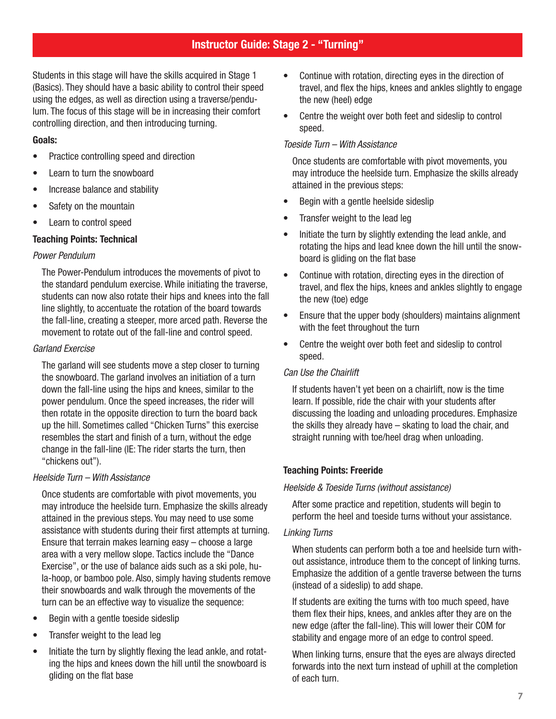## Instructor Guide: Stage 2 - "Turning"

Students in this stage will have the skills acquired in Stage 1 (Basics). They should have a basic ability to control their speed using the edges, as well as direction using a traverse/pendulum. The focus of this stage will be in increasing their comfort controlling direction, and then introducing turning.

### Goals:

- Practice controlling speed and direction
- Learn to turn the snowboard
- Increase balance and stability
- Safety on the mountain
- Learn to control speed

### Teaching Points: Technical

### Power Pendulum

The Power-Pendulum introduces the movements of pivot to the standard pendulum exercise. While initiating the traverse, students can now also rotate their hips and knees into the fall line slightly, to accentuate the rotation of the board towards the fall-line, creating a steeper, more arced path. Reverse the movement to rotate out of the fall-line and control speed.

### Garland Exercise

The garland will see students move a step closer to turning the snowboard. The garland involves an initiation of a turn down the fall-line using the hips and knees, similar to the power pendulum. Once the speed increases, the rider will then rotate in the opposite direction to turn the board back up the hill. Sometimes called "Chicken Turns" this exercise resembles the start and finish of a turn, without the edge change in the fall-line (IE: The rider starts the turn, then "chickens out").

### Heelside Turn – With Assistance

Once students are comfortable with pivot movements, you may introduce the heelside turn. Emphasize the skills already attained in the previous steps. You may need to use some assistance with students during their first attempts at turning. Ensure that terrain makes learning easy – choose a large area with a very mellow slope. Tactics include the "Dance Exercise", or the use of balance aids such as a ski pole, hula-hoop, or bamboo pole. Also, simply having students remove their snowboards and walk through the movements of the turn can be an effective way to visualize the sequence:

- Begin with a gentle toeside sideslip
- Transfer weight to the lead leg
- Initiate the turn by slightly flexing the lead ankle, and rotating the hips and knees down the hill until the snowboard is gliding on the flat base
- Continue with rotation, directing eyes in the direction of travel, and flex the hips, knees and ankles slightly to engage the new (heel) edge
- Centre the weight over both feet and sideslip to control speed.

### Toeside Turn – With Assistance

Once students are comfortable with pivot movements, you may introduce the heelside turn. Emphasize the skills already attained in the previous steps:

- Begin with a gentle heelside sideslip
- Transfer weight to the lead leg
- Initiate the turn by slightly extending the lead ankle, and rotating the hips and lead knee down the hill until the snowboard is gliding on the flat base
- Continue with rotation, directing eyes in the direction of travel, and flex the hips, knees and ankles slightly to engage the new (toe) edge
- Ensure that the upper body (shoulders) maintains alignment with the feet throughout the turn
- Centre the weight over both feet and sideslip to control speed.

### Can Use the Chairlift

If students haven't yet been on a chairlift, now is the time learn. If possible, ride the chair with your students after discussing the loading and unloading procedures. Emphasize the skills they already have – skating to load the chair, and straight running with toe/heel drag when unloading.

### Teaching Points: Freeride

### Heelside & Toeside Turns (without assistance)

After some practice and repetition, students will begin to perform the heel and toeside turns without your assistance.

### Linking Turns

When students can perform both a toe and heelside turn without assistance, introduce them to the concept of linking turns. Emphasize the addition of a gentle traverse between the turns (instead of a sideslip) to add shape.

If students are exiting the turns with too much speed, have them flex their hips, knees, and ankles after they are on the new edge (after the fall-line). This will lower their COM for stability and engage more of an edge to control speed.

When linking turns, ensure that the eyes are always directed forwards into the next turn instead of uphill at the completion of each turn.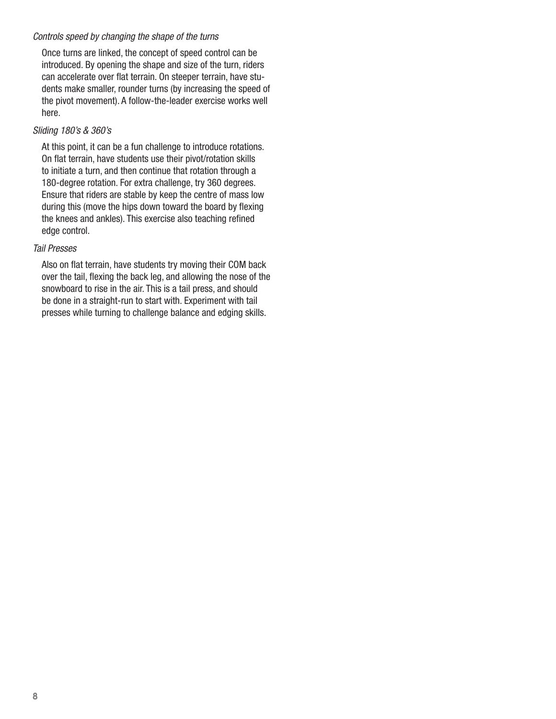### Controls speed by changing the shape of the turns

Once turns are linked, the concept of speed control can be introduced. By opening the shape and size of the turn, riders can accelerate over flat terrain. On steeper terrain, have students make smaller, rounder turns (by increasing the speed of the pivot movement). A follow-the-leader exercise works well here.

### Sliding 180's & 360's

At this point, it can be a fun challenge to introduce rotations. On flat terrain, have students use their pivot/rotation skills to initiate a turn, and then continue that rotation through a 180-degree rotation. For extra challenge, try 360 degrees. Ensure that riders are stable by keep the centre of mass low during this (move the hips down toward the board by flexing the knees and ankles). This exercise also teaching refined edge control.

### Tail Presses

Also on flat terrain, have students try moving their COM back over the tail, flexing the back leg, and allowing the nose of the snowboard to rise in the air. This is a tail press, and should be done in a straight-run to start with. Experiment with tail presses while turning to challenge balance and edging skills.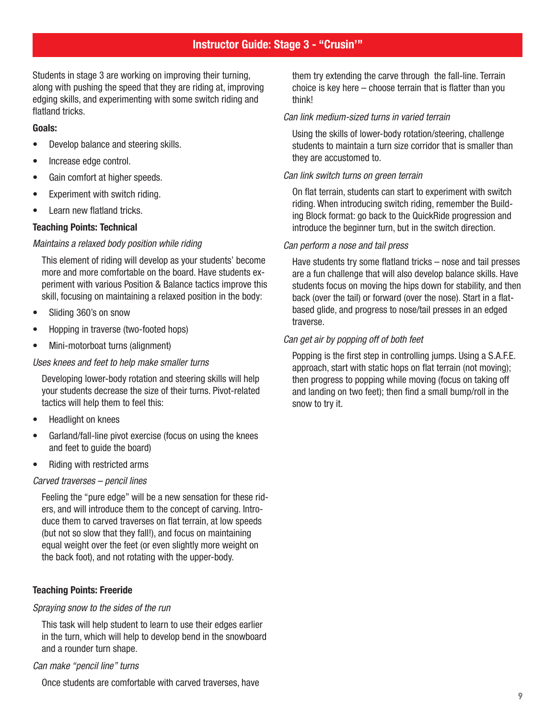## Instructor Guide: Stage 3 - "Crusin'"

Students in stage 3 are working on improving their turning, along with pushing the speed that they are riding at, improving edging skills, and experimenting with some switch riding and flatland tricks.

#### Goals:

- Develop balance and steering skills.
- Increase edge control.
- Gain comfort at higher speeds.
- Experiment with switch riding.
- Learn new flatland tricks.

#### Teaching Points: Technical

#### Maintains a relaxed body position while riding

This element of riding will develop as your students' become more and more comfortable on the board. Have students experiment with various Position & Balance tactics improve this skill, focusing on maintaining a relaxed position in the body:

- Sliding 360's on snow
- Hopping in traverse (two-footed hops)
- Mini-motorboat turns (alignment)

#### Uses knees and feet to help make smaller turns

Developing lower-body rotation and steering skills will help your students decrease the size of their turns. Pivot-related tactics will help them to feel this:

- Headlight on knees
- Garland/fall-line pivot exercise (focus on using the knees and feet to guide the board)
- Riding with restricted arms

#### Carved traverses – pencil lines

Feeling the "pure edge" will be a new sensation for these riders, and will introduce them to the concept of carving. Introduce them to carved traverses on flat terrain, at low speeds (but not so slow that they fall!), and focus on maintaining equal weight over the feet (or even slightly more weight on the back foot), and not rotating with the upper-body.

### Teaching Points: Freeride

#### Spraying snow to the sides of the run

This task will help student to learn to use their edges earlier in the turn, which will help to develop bend in the snowboard and a rounder turn shape.

#### Can make "pencil line" turns

Once students are comfortable with carved traverses, have

them try extending the carve through the fall-line. Terrain choice is key here – choose terrain that is flatter than you think!

#### Can link medium-sized turns in varied terrain

Using the skills of lower-body rotation/steering, challenge students to maintain a turn size corridor that is smaller than they are accustomed to.

#### Can link switch turns on green terrain

On flat terrain, students can start to experiment with switch riding. When introducing switch riding, remember the Building Block format: go back to the QuickRide progression and introduce the beginner turn, but in the switch direction.

#### Can perform a nose and tail press

Have students try some flatland tricks – nose and tail presses are a fun challenge that will also develop balance skills. Have students focus on moving the hips down for stability, and then back (over the tail) or forward (over the nose). Start in a flatbased glide, and progress to nose/tail presses in an edged traverse.

#### Can get air by popping off of both feet

Popping is the first step in controlling jumps. Using a S.A.F.E. approach, start with static hops on flat terrain (not moving); then progress to popping while moving (focus on taking off and landing on two feet); then find a small bump/roll in the snow to try it.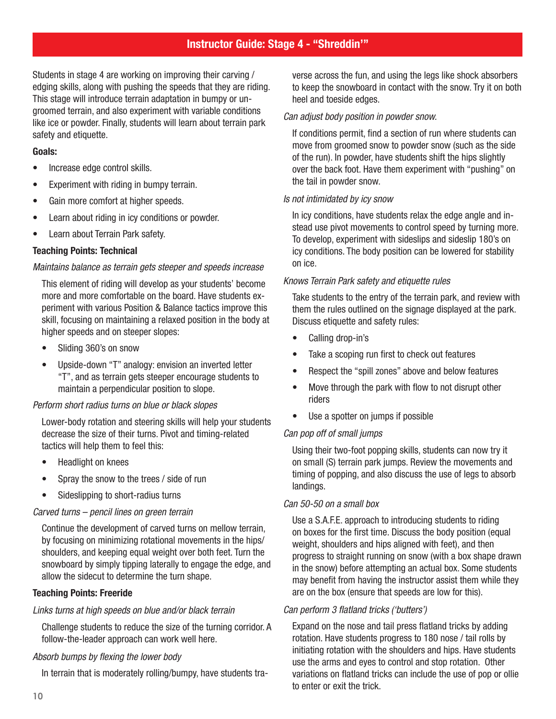## Instructor Guide: Stage 4 - "Shreddin'"

Students in stage 4 are working on improving their carving / edging skills, along with pushing the speeds that they are riding. This stage will introduce terrain adaptation in bumpy or ungroomed terrain, and also experiment with variable conditions like ice or powder. Finally, students will learn about terrain park safety and etiquette.

### Goals:

- Increase edge control skills.
- Experiment with riding in bumpy terrain.
- Gain more comfort at higher speeds.
- Learn about riding in icy conditions or powder.
- Learn about Terrain Park safety.

### Teaching Points: Technical

#### Maintains balance as terrain gets steeper and speeds increase

This element of riding will develop as your students' become more and more comfortable on the board. Have students experiment with various Position & Balance tactics improve this skill, focusing on maintaining a relaxed position in the body at higher speeds and on steeper slopes:

- Sliding 360's on snow
- Upside-down "T" analogy: envision an inverted letter "T", and as terrain gets steeper encourage students to maintain a perpendicular position to slope.

### Perform short radius turns on blue or black slopes

Lower-body rotation and steering skills will help your students decrease the size of their turns. Pivot and timing-related tactics will help them to feel this:

- Headlight on knees
- Spray the snow to the trees / side of run
- Sideslipping to short-radius turns

#### Carved turns – pencil lines on green terrain

Continue the development of carved turns on mellow terrain, by focusing on minimizing rotational movements in the hips/ shoulders, and keeping equal weight over both feet. Turn the snowboard by simply tipping laterally to engage the edge, and allow the sidecut to determine the turn shape.

#### Teaching Points: Freeride

#### Links turns at high speeds on blue and/or black terrain

Challenge students to reduce the size of the turning corridor. A follow-the-leader approach can work well here.

#### Absorb bumps by flexing the lower body

In terrain that is moderately rolling/bumpy, have students tra-

verse across the fun, and using the legs like shock absorbers to keep the snowboard in contact with the snow. Try it on both heel and toeside edges.

#### Can adjust body position in powder snow.

If conditions permit, find a section of run where students can move from groomed snow to powder snow (such as the side of the run). In powder, have students shift the hips slightly over the back foot. Have them experiment with "pushing" on the tail in powder snow.

#### Is not intimidated by icy snow

In icy conditions, have students relax the edge angle and instead use pivot movements to control speed by turning more. To develop, experiment with sideslips and sideslip 180's on icy conditions. The body position can be lowered for stability on ice.

### Knows Terrain Park safety and etiquette rules

Take students to the entry of the terrain park, and review with them the rules outlined on the signage displayed at the park. Discuss etiquette and safety rules:

- Calling drop-in's
- Take a scoping run first to check out features
- Respect the "spill zones" above and below features
- Move through the park with flow to not disrupt other riders
- Use a spotter on jumps if possible

### Can pop off of small jumps

Using their two-foot popping skills, students can now try it on small (S) terrain park jumps. Review the movements and timing of popping, and also discuss the use of legs to absorb landings.

### Can 50-50 on a small box

Use a S.A.F.E. approach to introducing students to riding on boxes for the first time. Discuss the body position (equal weight, shoulders and hips aligned with feet), and then progress to straight running on snow (with a box shape drawn in the snow) before attempting an actual box. Some students may benefit from having the instructor assist them while they are on the box (ensure that speeds are low for this).

### Can perform 3 flatland tricks ('butters')

Expand on the nose and tail press flatland tricks by adding rotation. Have students progress to 180 nose / tail rolls by initiating rotation with the shoulders and hips. Have students use the arms and eyes to control and stop rotation. Other variations on flatland tricks can include the use of pop or ollie to enter or exit the trick.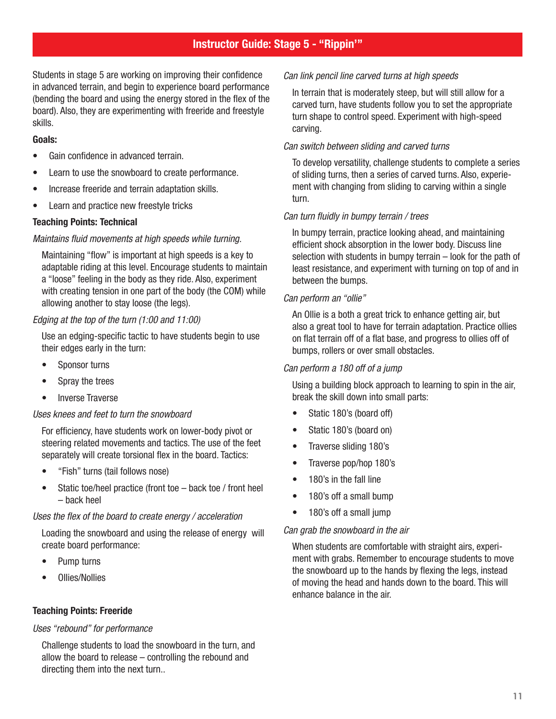## Instructor Guide: Stage 5 - "Rippin'"

Students in stage 5 are working on improving their confidence in advanced terrain, and begin to experience board performance (bending the board and using the energy stored in the flex of the board). Also, they are experimenting with freeride and freestyle skills.

### Goals:

- Gain confidence in advanced terrain.
- Learn to use the snowboard to create performance.
- Increase freeride and terrain adaptation skills.
- Learn and practice new freestyle tricks

### Teaching Points: Technical

### Maintains fluid movements at high speeds while turning.

Maintaining "flow" is important at high speeds is a key to adaptable riding at this level. Encourage students to maintain a "loose" feeling in the body as they ride. Also, experiment with creating tension in one part of the body (the COM) while allowing another to stay loose (the legs).

### Edging at the top of the turn (1:00 and 11:00)

Use an edging-specific tactic to have students begin to use their edges early in the turn:

- Sponsor turns
- Spray the trees
- Inverse Traverse

### Uses knees and feet to turn the snowboard

For efficiency, have students work on lower-body pivot or steering related movements and tactics. The use of the feet separately will create torsional flex in the board. Tactics:

- "Fish" turns (tail follows nose)
- Static toe/heel practice (front toe back toe / front heel – back heel

### Uses the flex of the board to create energy / acceleration

Loading the snowboard and using the release of energy will create board performance:

- Pump turns
- Ollies/Nollies

### Teaching Points: Freeride

### Uses "rebound" for performance

Challenge students to load the snowboard in the turn, and allow the board to release – controlling the rebound and directing them into the next turn..

### Can link pencil line carved turns at high speeds

In terrain that is moderately steep, but will still allow for a carved turn, have students follow you to set the appropriate turn shape to control speed. Experiment with high-speed carving.

### Can switch between sliding and carved turns

To develop versatility, challenge students to complete a series of sliding turns, then a series of carved turns. Also, experiement with changing from sliding to carving within a single turn.

### Can turn fluidly in bumpy terrain / trees

In bumpy terrain, practice looking ahead, and maintaining efficient shock absorption in the lower body. Discuss line selection with students in bumpy terrain – look for the path of least resistance, and experiment with turning on top of and in between the bumps.

### Can perform an "ollie"

An Ollie is a both a great trick to enhance getting air, but also a great tool to have for terrain adaptation. Practice ollies on flat terrain off of a flat base, and progress to ollies off of bumps, rollers or over small obstacles.

### Can perform a 180 off of a jump

Using a building block approach to learning to spin in the air, break the skill down into small parts:

- Static 180's (board off)
- Static 180's (board on)
- Traverse sliding 180's
- Traverse pop/hop 180's
- 180's in the fall line
- 180's off a small bump
- 180's off a small jump

### Can grab the snowboard in the air

When students are comfortable with straight airs, experiment with grabs. Remember to encourage students to move the snowboard up to the hands by flexing the legs, instead of moving the head and hands down to the board. This will enhance balance in the air.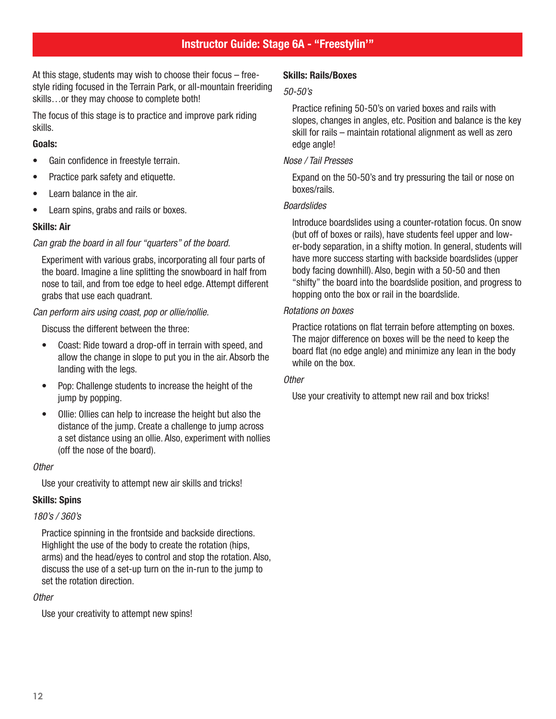## Instructor Guide: Stage 6A - "Freestylin'"

At this stage, students may wish to choose their focus – freestyle riding focused in the Terrain Park, or all-mountain freeriding skills…or they may choose to complete both!

The focus of this stage is to practice and improve park riding skills.

### Goals:

- Gain confidence in freestyle terrain.
- Practice park safety and etiquette.
- Learn balance in the air.
- Learn spins, grabs and rails or boxes.

### Skills: Air

### Can grab the board in all four "quarters" of the board.

Experiment with various grabs, incorporating all four parts of the board. Imagine a line splitting the snowboard in half from nose to tail, and from toe edge to heel edge. Attempt different grabs that use each quadrant.

### Can perform airs using coast, pop or ollie/nollie.

Discuss the different between the three:

- Coast: Ride toward a drop-off in terrain with speed, and allow the change in slope to put you in the air. Absorb the landing with the legs.
- Pop: Challenge students to increase the height of the jump by popping.
- Ollie: Ollies can help to increase the height but also the distance of the jump. Create a challenge to jump across a set distance using an ollie. Also, experiment with nollies (off the nose of the board).

### **Other**

Use your creativity to attempt new air skills and tricks!

### Skills: Spins

### 180's / 360's

Practice spinning in the frontside and backside directions. Highlight the use of the body to create the rotation (hips, arms) and the head/eyes to control and stop the rotation. Also, discuss the use of a set-up turn on the in-run to the jump to set the rotation direction.

### **Other**

Use your creativity to attempt new spins!

### Skills: Rails/Boxes

### 50-50's

Practice refining 50-50's on varied boxes and rails with slopes, changes in angles, etc. Position and balance is the key skill for rails – maintain rotational alignment as well as zero edge angle!

### Nose / Tail Presses

Expand on the 50-50's and try pressuring the tail or nose on boxes/rails.

### Boardslides

Introduce boardslides using a counter-rotation focus. On snow (but off of boxes or rails), have students feel upper and lower-body separation, in a shifty motion. In general, students will have more success starting with backside boardslides (upper body facing downhill). Also, begin with a 50-50 and then "shifty" the board into the boardslide position, and progress to hopping onto the box or rail in the boardslide.

### Rotations on boxes

Practice rotations on flat terrain before attempting on boxes. The major difference on boxes will be the need to keep the board flat (no edge angle) and minimize any lean in the body while on the box.

### **Other**

Use your creativity to attempt new rail and box tricks!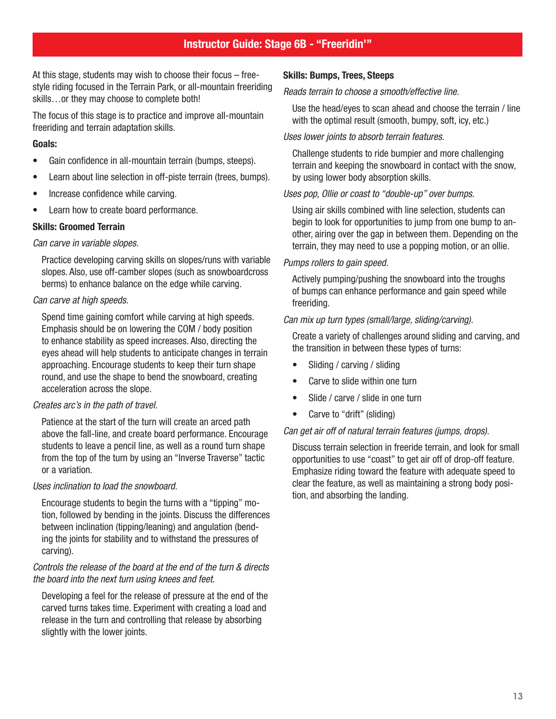## Instructor Guide: Stage 6B - "Freeridin'"

At this stage, students may wish to choose their focus – freestyle riding focused in the Terrain Park, or all-mountain freeriding skills…or they may choose to complete both!

The focus of this stage is to practice and improve all-mountain freeriding and terrain adaptation skills.

### Goals:

- Gain confidence in all-mountain terrain (bumps, steeps).
- Learn about line selection in off-piste terrain (trees, bumps).
- Increase confidence while carving.
- Learn how to create board performance.

### Skills: Groomed Terrain

#### Can carve in variable slopes.

Practice developing carving skills on slopes/runs with variable slopes. Also, use off-camber slopes (such as snowboardcross berms) to enhance balance on the edge while carving.

### Can carve at high speeds.

Spend time gaining comfort while carving at high speeds. Emphasis should be on lowering the COM / body position to enhance stability as speed increases. Also, directing the eyes ahead will help students to anticipate changes in terrain approaching. Encourage students to keep their turn shape round, and use the shape to bend the snowboard, creating acceleration across the slope.

### Creates arc's in the path of travel.

Patience at the start of the turn will create an arced path above the fall-line, and create board performance. Encourage students to leave a pencil line, as well as a round turn shape from the top of the turn by using an "Inverse Traverse" tactic or a variation.

### Uses inclination to load the snowboard.

Encourage students to begin the turns with a "tipping" motion, followed by bending in the joints. Discuss the differences between inclination (tipping/leaning) and angulation (bending the joints for stability and to withstand the pressures of carving).

### Controls the release of the board at the end of the turn & directs the board into the next turn using knees and feet.

Developing a feel for the release of pressure at the end of the carved turns takes time. Experiment with creating a load and release in the turn and controlling that release by absorbing slightly with the lower joints.

### Skills: Bumps, Trees, Steeps

#### Reads terrain to choose a smooth/effective line.

Use the head/eyes to scan ahead and choose the terrain / line with the optimal result (smooth, bumpy, soft, icy, etc.)

#### Uses lower joints to absorb terrain features.

Challenge students to ride bumpier and more challenging terrain and keeping the snowboard in contact with the snow, by using lower body absorption skills.

### Uses pop, Ollie or coast to "double-up" over bumps.

Using air skills combined with line selection, students can begin to look for opportunities to jump from one bump to another, airing over the gap in between them. Depending on the terrain, they may need to use a popping motion, or an ollie.

### Pumps rollers to gain speed.

Actively pumping/pushing the snowboard into the troughs of bumps can enhance performance and gain speed while freeriding.

### Can mix up turn types (small/large, sliding/carving).

Create a variety of challenges around sliding and carving, and the transition in between these types of turns:

- Sliding / carving / sliding
- Carve to slide within one turn
- Slide / carve / slide in one turn
- Carve to "drift" (sliding)

### Can get air off of natural terrain features (jumps, drops).

Discuss terrain selection in freeride terrain, and look for small opportunities to use "coast" to get air off of drop-off feature. Emphasize riding toward the feature with adequate speed to clear the feature, as well as maintaining a strong body position, and absorbing the landing.